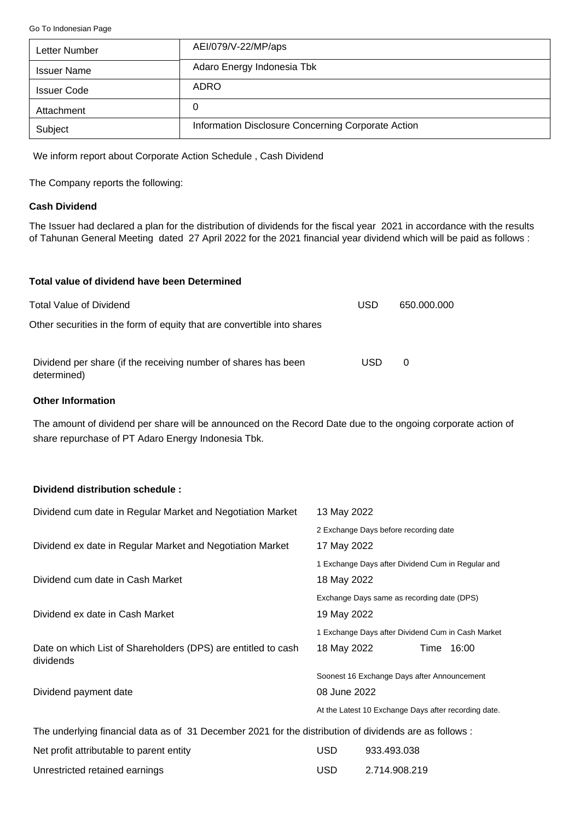[Go To Indonesian Page](#page--1-0)

| Letter Number      | AEI/079/V-22/MP/aps                                |
|--------------------|----------------------------------------------------|
| <b>Issuer Name</b> | Adaro Energy Indonesia Tbk                         |
| <b>Issuer Code</b> | ADRO                                               |
| Attachment         | 0                                                  |
| Subject            | Information Disclosure Concerning Corporate Action |

We inform report about Corporate Action Schedule , Cash Dividend

The Company reports the following:

## **Cash Dividend**

The Issuer had declared a plan for the distribution of dividends for the fiscal year 2021 in accordance with the results of Tahunan General Meeting dated 27 April 2022 for the 2021 financial year dividend which will be paid as follows :

## **Total value of dividend have been Determined**

| Total Value of Dividend                                                       | USD | 650,000,000 |
|-------------------------------------------------------------------------------|-----|-------------|
| Other securities in the form of equity that are convertible into shares       |     |             |
| Dividend per share (if the receiving number of shares has been<br>determined) | USD | 0           |

## **Other Information**

The amount of dividend per share will be announced on the Record Date due to the ongoing corporate action of share repurchase of PT Adaro Energy Indonesia Tbk.

## **Dividend distribution schedule :**

Unrestricted retained earnings

| Dividend cum date in Regular Market and Negotiation Market                                              | 13 May 2022                                                          |                                       |      |       |  |  |
|---------------------------------------------------------------------------------------------------------|----------------------------------------------------------------------|---------------------------------------|------|-------|--|--|
|                                                                                                         |                                                                      | 2 Exchange Days before recording date |      |       |  |  |
| Dividend ex date in Regular Market and Negotiation Market                                               | 17 May 2022<br>1 Exchange Days after Dividend Cum in Regular and     |                                       |      |       |  |  |
|                                                                                                         |                                                                      |                                       |      |       |  |  |
| Dividend cum date in Cash Market                                                                        | 18 May 2022                                                          |                                       |      |       |  |  |
|                                                                                                         | Exchange Days same as recording date (DPS)                           |                                       |      |       |  |  |
| Dividend ex date in Cash Market                                                                         | 19 May 2022                                                          |                                       |      |       |  |  |
|                                                                                                         | 1 Exchange Days after Dividend Cum in Cash Market                    |                                       |      |       |  |  |
| Date on which List of Shareholders (DPS) are entitled to cash<br>dividends                              | 18 May 2022                                                          |                                       | Time | 16:00 |  |  |
|                                                                                                         | Soonest 16 Exchange Days after Announcement                          |                                       |      |       |  |  |
| Dividend payment date                                                                                   | 08 June 2022<br>At the Latest 10 Exchange Days after recording date. |                                       |      |       |  |  |
|                                                                                                         |                                                                      |                                       |      |       |  |  |
| The underlying financial data as of 31 December 2021 for the distribution of dividends are as follows : |                                                                      |                                       |      |       |  |  |
| Net profit attributable to parent entity                                                                | <b>USD</b>                                                           | 933.493.038                           |      |       |  |  |
| Unrestricted retained earnings                                                                          | <b>USD</b>                                                           | 2.714.908.219                         |      |       |  |  |